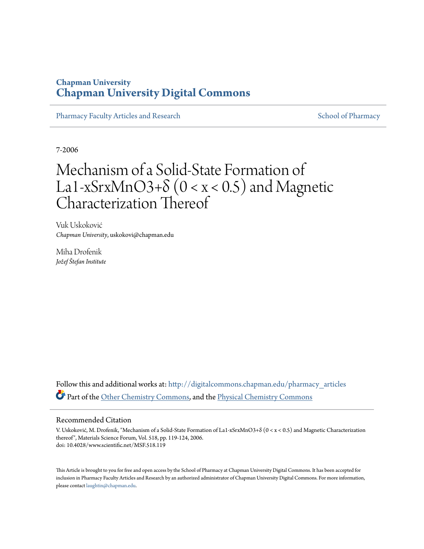## **Chapman University [Chapman University Digital Commons](http://digitalcommons.chapman.edu?utm_source=digitalcommons.chapman.edu%2Fpharmacy_articles%2F337&utm_medium=PDF&utm_campaign=PDFCoverPages)**

[Pharmacy Faculty Articles and Research](http://digitalcommons.chapman.edu/pharmacy_articles?utm_source=digitalcommons.chapman.edu%2Fpharmacy_articles%2F337&utm_medium=PDF&utm_campaign=PDFCoverPages) [School of Pharmacy](http://digitalcommons.chapman.edu/cusp?utm_source=digitalcommons.chapman.edu%2Fpharmacy_articles%2F337&utm_medium=PDF&utm_campaign=PDFCoverPages)

7-2006

# Mechanism of a Solid-State Formation of La1-xSrxMnO3+δ (0 < x < 0.5) and Magnetic Characterization Thereof

Vuk Uskoković *Chapman University*, uskokovi@chapman.edu

Miha Drofenik *Jožef Štefan Institute*

Follow this and additional works at: [http://digitalcommons.chapman.edu/pharmacy\\_articles](http://digitalcommons.chapman.edu/pharmacy_articles?utm_source=digitalcommons.chapman.edu%2Fpharmacy_articles%2F337&utm_medium=PDF&utm_campaign=PDFCoverPages) Part of the [Other Chemistry Commons](http://network.bepress.com/hgg/discipline/141?utm_source=digitalcommons.chapman.edu%2Fpharmacy_articles%2F337&utm_medium=PDF&utm_campaign=PDFCoverPages), and the [Physical Chemistry Commons](http://network.bepress.com/hgg/discipline/139?utm_source=digitalcommons.chapman.edu%2Fpharmacy_articles%2F337&utm_medium=PDF&utm_campaign=PDFCoverPages)

#### Recommended Citation

V. Uskoković, M. Drofenik, "Mechanism of a Solid-State Formation of La1-xSrxMnO3+δ (0 < x < 0.5) and Magnetic Characterization thereof", Materials Science Forum, Vol. 518, pp. 119-124, 2006. doi: 10.4028/www.scientific.net/MSF.518.119

This Article is brought to you for free and open access by the School of Pharmacy at Chapman University Digital Commons. It has been accepted for inclusion in Pharmacy Faculty Articles and Research by an authorized administrator of Chapman University Digital Commons. For more information, please contact [laughtin@chapman.edu.](mailto:laughtin@chapman.edu)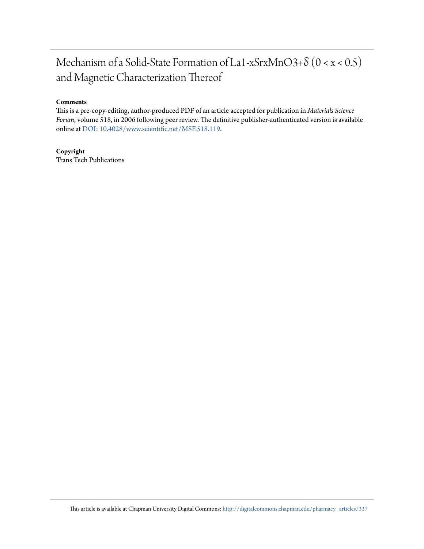## Mechanism of a Solid-State Formation of La1-xSrxMnO3+δ (0 < x < 0.5) and Magnetic Characterization Thereof

#### **Comments**

This is a pre-copy-editing, author-produced PDF of an article accepted for publication in *Materials Science Forum*, volume 518, in 2006 following peer review. The definitive publisher-authenticated version is available online at [DOI:](http://dx.doi.org/10.4028/www.scientific.net/MSF.518.119) [10.4028/www.scientific.net/MSF.518.119](http://dx.doi.org/10.4028/www.scientific.net/MSF.518.119).

## **Copyright**

Trans Tech Publications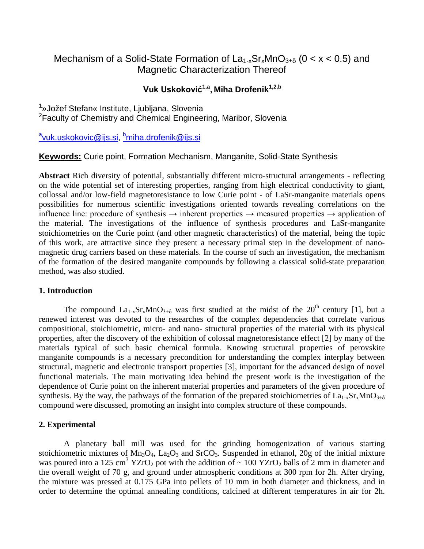## Mechanism of a Solid-State Formation of  $La_{1-x}Sr_xMnO_{3+\delta}$  (0 < x < 0.5) and Magnetic Characterization Thereof

## **Vuk Uskoković1,a, Miha Drofenik1,2,b**

<sup>1</sup>»Jožef Stefan« Institute, Ljubljana, Slovenia <sup>2</sup> Faculty of Chemistry and Chemical Engineering, Maribor, Slovenia

<u><sup>a</sup>[vuk.uskokovic@ijs.si,](mailto:avuk.uskokovic@ijs.si) <sup>b</sup>[miha.drofenik@ijs.si](mailto:cmiha.drofenik@ijs.si)</u>

## **Keywords:** Curie point, Formation Mechanism, Manganite, Solid-State Synthesis

**Abstract** Rich diversity of potential, substantially different micro-structural arrangements - reflecting on the wide potential set of interesting properties, ranging from high electrical conductivity to giant, collossal and/or low-field magnetoresistance to low Curie point - of LaSr-manganite materials opens possibilities for numerous scientific investigations oriented towards revealing correlations on the influence line: procedure of synthesis  $\rightarrow$  inherent properties  $\rightarrow$  measured properties  $\rightarrow$  application of the material. The investigations of the influence of synthesis procedures and LaSr-manganite stoichiometries on the Curie point (and other magnetic characteristics) of the material, being the topic of this work, are attractive since they present a necessary primal step in the development of nanomagnetic drug carriers based on these materials. In the course of such an investigation, the mechanism of the formation of the desired manganite compounds by following a classical solid-state preparation method, was also studied.

## **1. Introduction**

The compound  $La_{1-x}Sr_xMnO_{3+\delta}$  was first studied at the midst of the 20<sup>th</sup> century [1], but a renewed interest was devoted to the researches of the complex dependencies that correlate various compositional, stoichiometric, micro- and nano- structural properties of the material with its physical properties, after the discovery of the exhibition of colossal magnetoresistance effect [2] by many of the materials typical of such basic chemical formula. Knowing structural properties of perovskite manganite compounds is a necessary precondition for understanding the complex interplay between structural, magnetic and electronic transport properties [3], important for the advanced design of novel functional materials. The main motivating idea behind the present work is the investigation of the dependence of Curie point on the inherent material properties and parameters of the given procedure of synthesis. By the way, the pathways of the formation of the prepared stoichiometries of  $La_{1-x}Sr_xMnO_{3+\delta}$ compound were discussed, promoting an insight into complex structure of these compounds.

## **2. Experimental**

A planetary ball mill was used for the grinding homogenization of various starting stoichiometric mixtures of  $Mn_3O_4$ , La<sub>2</sub>O<sub>3</sub> and SrCO<sub>3</sub>. Suspended in ethanol, 20g of the initial mixture was poured into a 125 cm<sup>3</sup> YZrO<sub>2</sub> pot with the addition of  $\sim 100$  YZrO<sub>2</sub> balls of 2 mm in diameter and the overall weight of 70 g, and ground under atmospheric conditions at 300 rpm for 2h. After drying, the mixture was pressed at 0.175 GPa into pellets of 10 mm in both diameter and thickness, and in order to determine the optimal annealing conditions, calcined at different temperatures in air for 2h.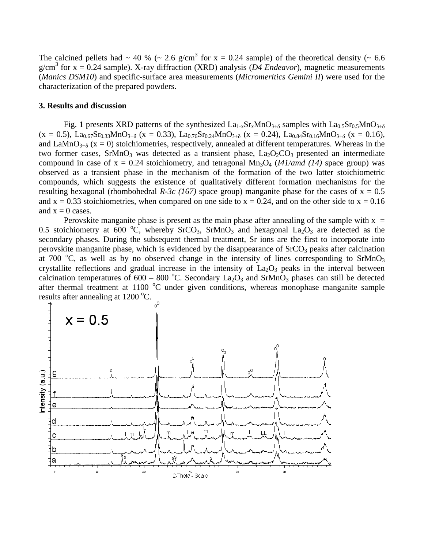The calcined pellets had  $\sim 40\%$  ( $\sim 2.6$  g/cm<sup>3</sup> for x = 0.24 sample) of the theoretical density ( $\sim 6.6$ ) g/cm<sup>3</sup> for  $x = 0.24$  sample). X-ray diffraction (XRD) analysis (*D4 Endeavor*), magnetic measurements (*Manics DSM10*) and specific-surface area measurements (*Micromeritics Gemini II*) were used for the characterization of the prepared powders.

#### **3. Results and discussion**

Fig. 1 presents XRD patterns of the synthesized  $La_{1-x}Sr_xMnO_{3+\delta}$  samples with  $La_{0.5}Sr_{0.5}MnO_{3+\delta}$  $(x = 0.5)$ , La<sub>0.67</sub>Sr<sub>0.33</sub>MnO<sub>3+δ</sub> (x = 0.33), La<sub>0.76</sub>Sr<sub>0.24</sub>MnO<sub>3+δ</sub> (x = 0.24), La<sub>0.84</sub>Sr<sub>0.16</sub>MnO<sub>3+δ</sub> (x = 0.16), and LaMnO<sub>3+δ</sub> ( $x = 0$ ) stoichiometries, respectively, annealed at different temperatures. Whereas in the two former cases,  $SrMnO_3$  was detected as a transient phase,  $La_2O_2CO_3$  presented an intermediate compound in case of  $x = 0.24$  stoichiometry, and tetragonal  $Mn_3O_4$  (*I41/amd (14)* space group) was observed as a transient phase in the mechanism of the formation of the two latter stoichiometric compounds, which suggests the existence of qualitatively different formation mechanisms for the resulting hexagonal (rhombohedral *R-3c (167)* space group) manganite phase for the cases of  $x = 0.5$ and  $x = 0.33$  stoichiometries, when compared on one side to  $x = 0.24$ , and on the other side to  $x = 0.16$ and  $x = 0$  cases.

Perovskite manganite phase is present as the main phase after annealing of the sample with  $x =$ 0.5 stoichiometry at 600 °C, whereby SrCO<sub>3</sub>, SrMnO<sub>3</sub> and hexagonal La<sub>2</sub>O<sub>3</sub> are detected as the secondary phases. During the subsequent thermal treatment, Sr ions are the first to incorporate into perovskite manganite phase, which is evidenced by the disappearance of  $SrCO<sub>3</sub>$  peaks after calcination at 700  $^{\circ}$ C, as well as by no observed change in the intensity of lines corresponding to SrMnO<sub>3</sub> crystallite reflections and gradual increase in the intensity of  $La_2O_3$  peaks in the interval between calcination temperatures of 600 – 800 °C. Secondary  $La_2O_3$  and SrMnO<sub>3</sub> phases can still be detected after thermal treatment at 1100 °C under given conditions, whereas monophase manganite sample results after annealing at  $1200^{\circ}$ C.

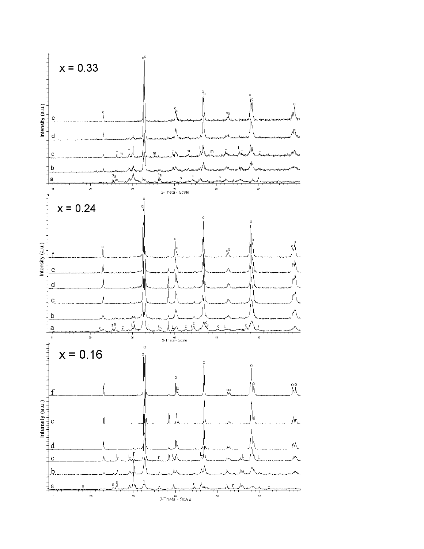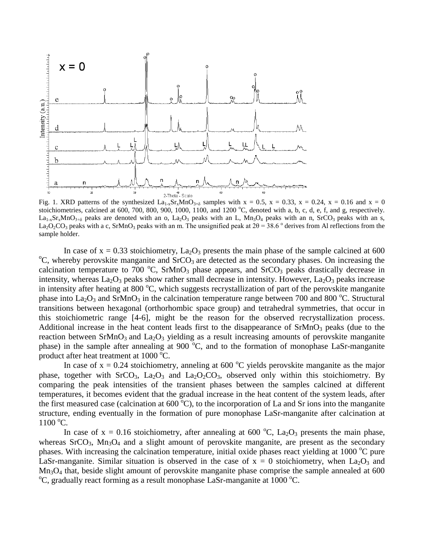

Fig. 1. XRD patterns of the synthesized  $La_{1-x}Sr_xMnO_{3+\delta}$  samples with  $x = 0.5$ ,  $x = 0.33$ ,  $x = 0.24$ ,  $x = 0.16$  and  $x = 0$ stoichiometries, calcined at 600, 700, 800, 900, 1000, 1100, and 1200  $^{\circ}$ C, denoted with a, b, c, d, e, f, and g, respectively.  $La_{1-x}Sr_xMnO_{3+\delta}$  peaks are denoted with an o,  $La_2O_3$  peaks with an L, Mn<sub>3</sub>O<sub>4</sub> peaks with an n, SrCO<sub>3</sub> peaks with an s, La<sub>2</sub>O<sub>2</sub>CO<sub>3</sub> peaks with a c, SrMnO<sub>3</sub> peaks with an m. The unsignified peak at  $2\theta = 38.6$  ° derives from Al reflections from the sample holder.

In case of  $x = 0.33$  stoichiometry, La<sub>2</sub>O<sub>3</sub> presents the main phase of the sample calcined at 600  $\rm{^oC}$ , whereby perovskite manganite and SrCO<sub>3</sub> are detected as the secondary phases. On increasing the calcination temperature to  $700\text{ °C}$ , SrMnO<sub>3</sub> phase appears, and SrCO<sub>3</sub> peaks drastically decrease in intensity, whereas La<sub>2</sub>O<sub>3</sub> peaks show rather small decrease in intensity. However, La<sub>2</sub>O<sub>3</sub> peaks increase in intensity after heating at 800 °C, which suggests recrystallization of part of the perovskite manganite phase into  $La_2O_3$  and SrMnO<sub>3</sub> in the calcination temperature range between 700 and 800 °C. Structural transitions between hexagonal (orthorhombic space group) and tetrahedral symmetries, that occur in this stoichiometric range [4-6], might be the reason for the observed recrystallization process. Additional increase in the heat content leads first to the disappearance of  $SrMnO<sub>3</sub>$  peaks (due to the reaction between  $SrMnO<sub>3</sub>$  and  $La<sub>2</sub>O<sub>3</sub>$  yielding as a result increasing amounts of perovskite manganite phase) in the sample after annealing at  $900\,^{\circ}\text{C}$ , and to the formation of monophase LaSr-manganite product after heat treatment at  $1000^{\circ}$ C.

In case of  $x = 0.24$  stoichiometry, anneling at 600 °C yields perovskite manganite as the major phase, together with  $S<sub>1</sub>CO<sub>3</sub>$ ,  $La<sub>2</sub>O<sub>3</sub>$  and  $La<sub>2</sub>O<sub>2</sub>CO<sub>3</sub>$ , observed only within this stoichiometry. By comparing the peak intensities of the transient phases between the samples calcined at different temperatures, it becomes evident that the gradual increase in the heat content of the system leads, after the first measured case (calcination at  $600^{\circ}$ C), to the incorporation of La and Sr ions into the manganite structure, ending eventually in the formation of pure monophase LaSr-manganite after calcination at  $1100\,^{\circ}\mathrm{C}$ .

In case of  $x = 0.16$  stoichiometry, after annealing at 600 °C, La<sub>2</sub>O<sub>3</sub> presents the main phase, whereas  $SrCO<sub>3</sub>$ ,  $Mn<sub>3</sub>O<sub>4</sub>$  and a slight amount of perovskite manganite, are present as the secondary phases. With increasing the calcination temperature, initial oxide phases react yielding at 1000 °C pure LaSr-manganite. Similar situation is observed in the case of  $x = 0$  stoichiometry, when La<sub>2</sub>O<sub>3</sub> and  $Mn<sub>3</sub>O<sub>4</sub>$  that, beside slight amount of perovskite manganite phase comprise the sample annealed at 600 C, gradually react forming as a result monophase LaSr-manganite at  $1000^{\circ}$ C.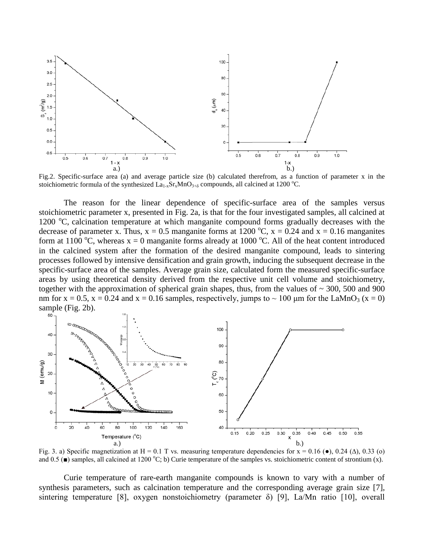

Fig.2. Specific-surface area (a) and average particle size (b) calculated therefrom, as a function of parameter x in the stoichiometric formula of the synthesized  $La_{1-x}Sr_xMnO_{3+\delta}$  compounds, all calcined at 1200 °C.

The reason for the linear dependence of specific-surface area of the samples versus stoichiometric parameter x, presented in Fig. 2a, is that for the four investigated samples, all calcined at 1200 °C, calcination temperature at which manganite compound forms gradually decreases with the decrease of parameter x. Thus,  $x = 0.5$  manganite forms at 1200 °C,  $x = 0.24$  and  $x = 0.16$  manganites form at 1100 °C, whereas  $x = 0$  manganite forms already at 1000 °C. All of the heat content introduced in the calcined system after the formation of the desired manganite compound, leads to sintering processes followed by intensive densification and grain growth, inducing the subsequent decrease in the specific-surface area of the samples. Average grain size, calculated form the measured specific-surface areas by using theoretical density derived from the respective unit cell volume and stoichiometry, together with the approximation of spherical grain shapes, thus, from the values of  $\sim$  300, 500 and 900 nm for  $x = 0.5$ ,  $x = 0.24$  and  $x = 0.16$  samples, respectively, jumps to  $\sim 100$  µm for the LaMnO<sub>3</sub> ( $x = 0$ ) sample (Fig. 2b).



Fig. 3. a) Specific magnetization at H = 0.1 T vs. measuring temperature dependencies for  $x = 0.16$  ( $\bullet$ ), 0.24 ( $\Delta$ ), 0.33 (o) and  $0.5$  ( $\blacksquare$ ) samples, all calcined at 1200 °C; b) Curie temperature of the samples vs. stoichiometric content of strontium (x).

Curie temperature of rare-earth manganite compounds is known to vary with a number of synthesis parameters, such as calcination temperature and the corresponding average grain size [7], sintering temperature [8], oxygen nonstoichiometry (parameter δ) [9], La/Mn ratio [10], overall